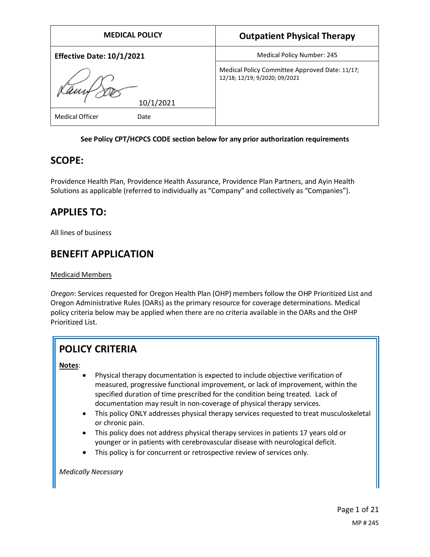| <b>MEDICAL POLICY</b>            | <b>Outpatient Physical Therapy</b>                                              |
|----------------------------------|---------------------------------------------------------------------------------|
| <b>Effective Date: 10/1/2021</b> | Medical Policy Number: 245                                                      |
| Kambber                          | Medical Policy Committee Approved Date: 11/17;<br>12/18; 12/19; 9/2020; 09/2021 |
| 10/1/2021                        |                                                                                 |
| <b>Medical Officer</b><br>Date   |                                                                                 |

### **See Policy CPT/HCPCS CODE section below for any prior authorization requirements**

### **SCOPE:**

Providence Health Plan, Providence Health Assurance, Providence Plan Partners, and Ayin Health Solutions as applicable (referred to individually as "Company" and collectively as "Companies").

# **APPLIES TO:**

All lines of business

# **BENEFIT APPLICATION**

### Medicaid Members

*Oregon*: Services requested for Oregon Health Plan (OHP) members follow the OHP Prioritized List and Oregon Administrative Rules (OARs) as the primary resource for coverage determinations. Medical policy criteria below may be applied when there are no criteria available in the OARs and the OHP Prioritized List.

# **POLICY CRITERIA**

#### **Notes**:

- Physical therapy documentation is expected to include objective verification of measured, progressive functional improvement, or lack of improvement, within the specified duration of time prescribed for the condition being treated. Lack of documentation may result in non-coverage of physical therapy services.
- This policy ONLY addresses physical therapy services requested to treat musculoskeletal or chronic pain.
- This policy does not address physical therapy services in patients 17 years old or younger or in patients with cerebrovascular disease with neurological deficit.
- This policy is for concurrent or retrospective review of services only.

*Medically Necessary*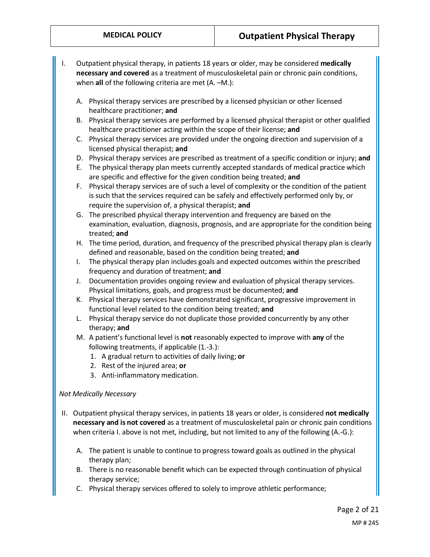- I. Outpatient physical therapy, in patients 18 years or older, may be considered **medically necessary and covered** as a treatment of musculoskeletal pain or chronic pain conditions, when **all** of the following criteria are met (A. –M.):
	- A. Physical therapy services are prescribed by a licensed physician or other licensed healthcare practitioner; **and**
	- B. Physical therapy services are performed by a licensed physical therapist or other qualified healthcare practitioner acting within the scope of their license; **and**
	- C. Physical therapy services are provided under the ongoing direction and supervision of a licensed physical therapist; **and**
	- D. Physical therapy services are prescribed as treatment of a specific condition or injury; **and**
	- E. The physical therapy plan meets currently accepted standards of medical practice which are specific and effective for the given condition being treated; **and**
	- F. Physical therapy services are of such a level of complexity or the condition of the patient is such that the services required can be safely and effectively performed only by, or require the supervision of, a physical therapist; **and**
	- G. The prescribed physical therapy intervention and frequency are based on the examination, evaluation, diagnosis, prognosis, and are appropriate for the condition being treated; **and**
	- H. The time period, duration, and frequency of the prescribed physical therapy plan is clearly defined and reasonable, based on the condition being treated; **and**
	- I. The physical therapy plan includes goals and expected outcomes within the prescribed frequency and duration of treatment; **and**
	- J. Documentation provides ongoing review and evaluation of physical therapy services. Physical limitations, goals, and progress must be documented; **and**
	- K. Physical therapy services have demonstrated significant, progressive improvement in functional level related to the condition being treated; **and**
	- L. Physical therapy service do not duplicate those provided concurrently by any other therapy; **and**
	- M. A patient's functional level is **not** reasonably expected to improve with **any** of the following treatments, if applicable (1.-3.):
		- 1. A gradual return to activities of daily living; **or**
		- 2. Rest of the injured area; **or**
		- 3. Anti-inflammatory medication.

#### *Not Medically Necessary*

- II. Outpatient physical therapy services, in patients 18 years or older, is considered **not medically necessary and is not covered** as a treatment of musculoskeletal pain or chronic pain conditions when criteria I. above is not met, including, but not limited to any of the following (A.-G.):
	- A. The patient is unable to continue to progress toward goals as outlined in the physical therapy plan;
	- B. There is no reasonable benefit which can be expected through continuation of physical therapy service;
	- C. Physical therapy services offered to solely to improve athletic performance;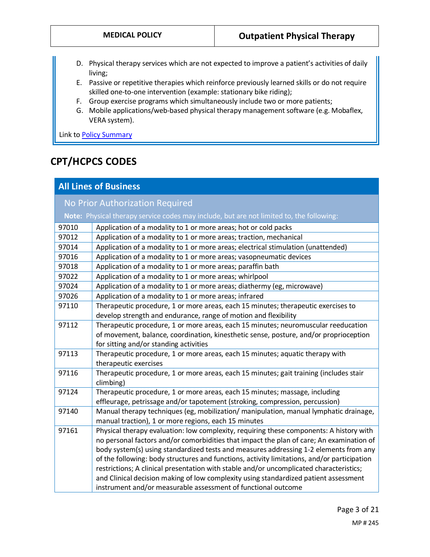- D. Physical therapy services which are not expected to improve a patient's activities of daily living;
- E. Passive or repetitive therapies which reinforce previously learned skills or do not require skilled one-to-one intervention (example: stationary bike riding);
- F. Group exercise programs which simultaneously include two or more patients;
- G. Mobile applications/web-based physical therapy management software (e.g. Mobaflex, VERA system).

Link t[o Policy Summary](#page-14-0)

# **CPT/HCPCS CODES**

| <b>All Lines of Business</b> |                                                                                                                                 |  |  |
|------------------------------|---------------------------------------------------------------------------------------------------------------------------------|--|--|
|                              | No Prior Authorization Required                                                                                                 |  |  |
|                              | Note: Physical therapy service codes may include, but are not limited to, the following:                                        |  |  |
| 97010                        | Application of a modality to 1 or more areas; hot or cold packs                                                                 |  |  |
| 97012                        | Application of a modality to 1 or more areas; traction, mechanical                                                              |  |  |
| 97014                        | Application of a modality to 1 or more areas; electrical stimulation (unattended)                                               |  |  |
| 97016                        | Application of a modality to 1 or more areas; vasopneumatic devices                                                             |  |  |
| 97018                        | Application of a modality to 1 or more areas; paraffin bath                                                                     |  |  |
| 97022                        | Application of a modality to 1 or more areas; whirlpool                                                                         |  |  |
| 97024                        | Application of a modality to 1 or more areas; diathermy (eg, microwave)                                                         |  |  |
| 97026                        | Application of a modality to 1 or more areas; infrared                                                                          |  |  |
| 97110                        | Therapeutic procedure, 1 or more areas, each 15 minutes; therapeutic exercises to                                               |  |  |
|                              | develop strength and endurance, range of motion and flexibility                                                                 |  |  |
| 97112                        | Therapeutic procedure, 1 or more areas, each 15 minutes; neuromuscular reeducation                                              |  |  |
|                              | of movement, balance, coordination, kinesthetic sense, posture, and/or proprioception<br>for sitting and/or standing activities |  |  |
| 97113                        | Therapeutic procedure, 1 or more areas, each 15 minutes; aquatic therapy with<br>therapeutic exercises                          |  |  |
| 97116                        | Therapeutic procedure, 1 or more areas, each 15 minutes; gait training (includes stair<br>climbing)                             |  |  |
| 97124                        | Therapeutic procedure, 1 or more areas, each 15 minutes; massage, including                                                     |  |  |
|                              | effleurage, petrissage and/or tapotement (stroking, compression, percussion)                                                    |  |  |
| 97140                        | Manual therapy techniques (eg, mobilization/ manipulation, manual lymphatic drainage,                                           |  |  |
|                              | manual traction), 1 or more regions, each 15 minutes                                                                            |  |  |
| 97161                        | Physical therapy evaluation: low complexity, requiring these components: A history with                                         |  |  |
|                              | no personal factors and/or comorbidities that impact the plan of care; An examination of                                        |  |  |
|                              | body system(s) using standardized tests and measures addressing 1-2 elements from any                                           |  |  |
|                              | of the following: body structures and functions, activity limitations, and/or participation                                     |  |  |
|                              | restrictions; A clinical presentation with stable and/or uncomplicated characteristics;                                         |  |  |
|                              | and Clinical decision making of low complexity using standardized patient assessment                                            |  |  |
|                              | instrument and/or measurable assessment of functional outcome                                                                   |  |  |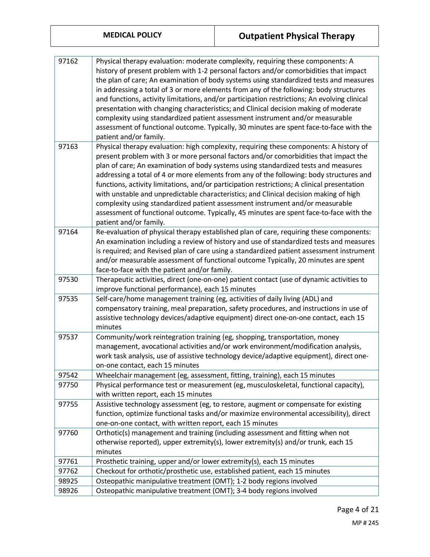|                | <b>MEDICAL POLICY</b>                                                                                                        | <b>Outpatient Physical Therapy</b>                                                                                                                                                                                                                                                                                                                                                                                                                                                                                                                                                                                                                                                                                                  |
|----------------|------------------------------------------------------------------------------------------------------------------------------|-------------------------------------------------------------------------------------------------------------------------------------------------------------------------------------------------------------------------------------------------------------------------------------------------------------------------------------------------------------------------------------------------------------------------------------------------------------------------------------------------------------------------------------------------------------------------------------------------------------------------------------------------------------------------------------------------------------------------------------|
|                |                                                                                                                              |                                                                                                                                                                                                                                                                                                                                                                                                                                                                                                                                                                                                                                                                                                                                     |
| 97162          | patient and/or family.                                                                                                       | Physical therapy evaluation: moderate complexity, requiring these components: A<br>history of present problem with 1-2 personal factors and/or comorbidities that impact<br>the plan of care; An examination of body systems using standardized tests and measures<br>in addressing a total of 3 or more elements from any of the following: body structures<br>and functions, activity limitations, and/or participation restrictions; An evolving clinical<br>presentation with changing characteristics; and Clinical decision making of moderate<br>complexity using standardized patient assessment instrument and/or measurable<br>assessment of functional outcome. Typically, 30 minutes are spent face-to-face with the    |
| 97163          | patient and/or family.                                                                                                       | Physical therapy evaluation: high complexity, requiring these components: A history of<br>present problem with 3 or more personal factors and/or comorbidities that impact the<br>plan of care; An examination of body systems using standardized tests and measures<br>addressing a total of 4 or more elements from any of the following: body structures and<br>functions, activity limitations, and/or participation restrictions; A clinical presentation<br>with unstable and unpredictable characteristics; and Clinical decision making of high<br>complexity using standardized patient assessment instrument and/or measurable<br>assessment of functional outcome. Typically, 45 minutes are spent face-to-face with the |
| 97164          | face-to-face with the patient and/or family.                                                                                 | Re-evaluation of physical therapy established plan of care, requiring these components:<br>An examination including a review of history and use of standardized tests and measures<br>is required; and Revised plan of care using a standardized patient assessment instrument<br>and/or measurable assessment of functional outcome Typically, 20 minutes are spent                                                                                                                                                                                                                                                                                                                                                                |
| 97530          | improve functional performance), each 15 minutes                                                                             | Therapeutic activities, direct (one-on-one) patient contact (use of dynamic activities to                                                                                                                                                                                                                                                                                                                                                                                                                                                                                                                                                                                                                                           |
| 97535          | minutes                                                                                                                      | Self-care/home management training (eg, activities of daily living (ADL) and<br>compensatory training, meal preparation, safety procedures, and instructions in use of<br>assistive technology devices/adaptive equipment) direct one-on-one contact, each 15                                                                                                                                                                                                                                                                                                                                                                                                                                                                       |
| 97537          | on-one contact, each 15 minutes                                                                                              | Community/work reintegration training (eg, shopping, transportation, money<br>management, avocational activities and/or work environment/modification analysis,<br>work task analysis, use of assistive technology device/adaptive equipment), direct one-                                                                                                                                                                                                                                                                                                                                                                                                                                                                          |
| 97542          |                                                                                                                              | Wheelchair management (eg, assessment, fitting, training), each 15 minutes                                                                                                                                                                                                                                                                                                                                                                                                                                                                                                                                                                                                                                                          |
| 97750          | Physical performance test or measurement (eg, musculoskeletal, functional capacity),<br>with written report, each 15 minutes |                                                                                                                                                                                                                                                                                                                                                                                                                                                                                                                                                                                                                                                                                                                                     |
| 97755<br>97760 | one-on-one contact, with written report, each 15 minutes                                                                     | Assistive technology assessment (eg, to restore, augment or compensate for existing<br>function, optimize functional tasks and/or maximize environmental accessibility), direct<br>Orthotic(s) management and training (including assessment and fitting when not<br>otherwise reported), upper extremity(s), lower extremity(s) and/or trunk, each 15                                                                                                                                                                                                                                                                                                                                                                              |
|                | minutes<br>Prosthetic training, upper and/or lower extremity(s), each 15 minutes                                             |                                                                                                                                                                                                                                                                                                                                                                                                                                                                                                                                                                                                                                                                                                                                     |
| 97761          |                                                                                                                              |                                                                                                                                                                                                                                                                                                                                                                                                                                                                                                                                                                                                                                                                                                                                     |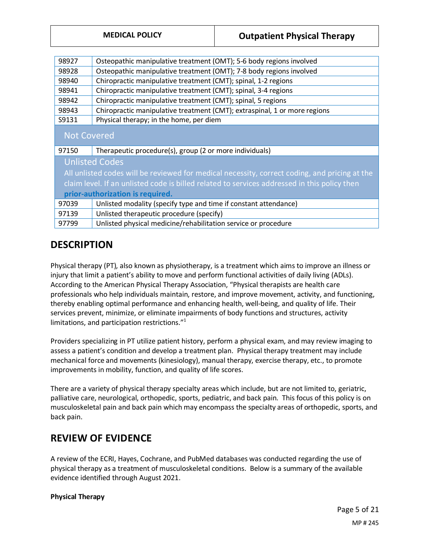| 98927       | Osteopathic manipulative treatment (OMT); 5-6 body regions involved                                                                                                                           |
|-------------|-----------------------------------------------------------------------------------------------------------------------------------------------------------------------------------------------|
| 98928       | Osteopathic manipulative treatment (OMT); 7-8 body regions involved                                                                                                                           |
| 98940       | Chiropractic manipulative treatment (CMT); spinal, 1-2 regions                                                                                                                                |
| 98941       | Chiropractic manipulative treatment (CMT); spinal, 3-4 regions                                                                                                                                |
| 98942       | Chiropractic manipulative treatment (CMT); spinal, 5 regions                                                                                                                                  |
| 98943       | Chiropractic manipulative treatment (CMT); extraspinal, 1 or more regions                                                                                                                     |
| S9131       | Physical therapy; in the home, per diem                                                                                                                                                       |
| Not Covered |                                                                                                                                                                                               |
|             |                                                                                                                                                                                               |
| 97150       | Therapeutic procedure(s), group (2 or more individuals)                                                                                                                                       |
|             | <b>Unlisted Codes</b>                                                                                                                                                                         |
|             |                                                                                                                                                                                               |
|             | All unlisted codes will be reviewed for medical necessity, correct coding, and pricing at the<br>claim level. If an unlisted code is billed related to services addressed in this policy then |
|             | prior-authorization is required.                                                                                                                                                              |
| 97039       | Unlisted modality (specify type and time if constant attendance)                                                                                                                              |
| 97139       | Unlisted therapeutic procedure (specify)                                                                                                                                                      |
| 97799       | Unlisted physical medicine/rehabilitation service or procedure                                                                                                                                |

## **DESCRIPTION**

Physical therapy (PT), also known as physiotherapy, is a treatment which aims to improve an illness or injury that limit a patient's ability to move and perform functional activities of daily living (ADLs). According to the American Physical Therapy Association, "Physical therapists are health care professionals who help individuals maintain, restore, and improve movement, activity, and functioning, thereby enabling optimal performance and enhancing health, well-being, and quality of life. Their services prevent, minimize, or eliminate [impairments of body functions and structures, activity](http://apps.who.int/classifications/icfbrowser/)  [limitations, and participation restrictions.](http://apps.who.int/classifications/icfbrowser/)"<sup>1</sup>

Providers specializing in PT utilize patient history, perform a physical exam, and may review imaging to assess a patient's condition and develop a treatment plan. Physical therapy treatment may include mechanical force and movements (kinesiology), manual therapy, exercise therapy, etc., to promote improvements in mobility, function, and quality of life scores.

There are a variety of physical therapy specialty areas which include, but are not limited to, geriatric, palliative care, neurological, orthopedic, sports, pediatric, and back pain. This focus of this policy is on musculoskeletal pain and back pain which may encompass the specialty areas of orthopedic, sports, and back pain.

# **REVIEW OF EVIDENCE**

A review of the ECRI, Hayes, Cochrane, and PubMed databases was conducted regarding the use of physical therapy as a treatment of musculoskeletal conditions. Below is a summary of the available evidence identified through August 2021.

#### **Physical Therapy**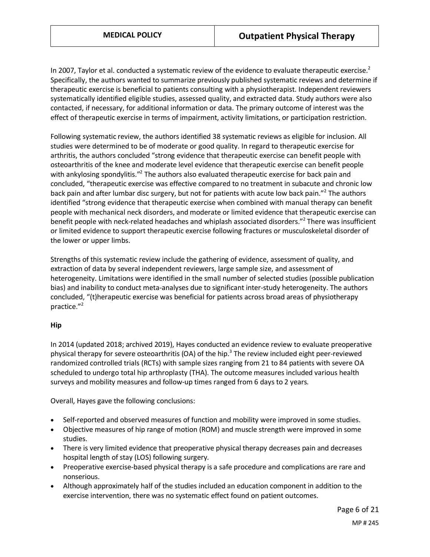In 2007, Taylor et al. conducted a systematic review of the evidence to evaluate therapeutic exercise.<sup>2</sup> Specifically, the authors wanted to summarize previously published systematic reviews and determine if therapeutic exercise is beneficial to patients consulting with a physiotherapist. Independent reviewers systematically identified eligible studies, assessed quality, and extracted data. Study authors were also contacted, if necessary, for additional information or data. The primary outcome of interest was the effect of therapeutic exercise in terms of impairment, activity limitations, or participation restriction.

Following systematic review, the authors identified 38 systematic reviews as eligible for inclusion. All studies were determined to be of moderate or good quality. In regard to therapeutic exercise for arthritis, the authors concluded "strong evidence that therapeutic exercise can benefit people with osteoarthritis of the knee and moderate level evidence that therapeutic exercise can benefit people with ankylosing spondylitis."<sup>2</sup> The authors also evaluated therapeutic exercise for back pain and concluded, "therapeutic exercise was effective compared to no treatment in subacute and chronic low back pain and after lumbar disc surgery, but not for patients with acute low back pain."<sup>2</sup> The authors identified "strong evidence that therapeutic exercise when combined with manual therapy can benefit people with mechanical neck disorders, and moderate or limited evidence that therapeutic exercise can benefit people with neck-related headaches and whiplash associated disorders."<sup>2</sup> There was insufficient or limited evidence to support therapeutic exercise following fractures or musculoskeletal disorder of the lower or upper limbs.

Strengths of this systematic review include the gathering of evidence, assessment of quality, and extraction of data by several independent reviewers, large sample size, and assessment of heterogeneity. Limitations were identified in the small number of selected studies (possible publication bias) and inability to conduct meta-analyses due to significant inter-study heterogeneity. The authors concluded, "(t)herapeutic exercise was beneficial for patients across broad areas of physiotherapy practice."<sup>2</sup>

#### **Hip**

In 2014 (updated 2018; archived 2019), Hayes conducted an evidence review to evaluate preoperative physical therapy for severe osteoarthritis (OA) of the hip.<sup>3</sup> The review included eight peer-reviewed randomized controlled trials (RCTs) with sample sizes ranging from 21 to 84 patients with severe OA scheduled to undergo total hip arthroplasty (THA). The outcome measures included various health surveys and mobility measures and follow-up times ranged from 6 days to 2 years.

Overall, Hayes gave the following conclusions:

- Self-reported and observed measures of function and mobility were improved in some studies.
- Objective measures of hip range of motion (ROM) and muscle strength were improved in some studies.
- There is very limited evidence that preoperative physical therapy decreases pain and decreases hospital length of stay (LOS) following surgery.
- Preoperative exercise-based physical therapy is a safe procedure and complications are rare and nonserious.
- Although approximately half of the studies included an education component in addition to the exercise intervention, there was no systematic effect found on patient outcomes.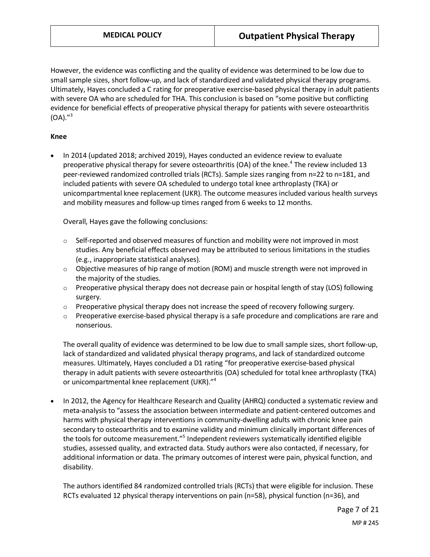However, the evidence was conflicting and the quality of evidence was determined to be low due to small sample sizes, short follow-up, and lack of standardized and validated physical therapy programs. Ultimately, Hayes concluded a C rating for preoperative exercise-based physical therapy in adult patients with severe OA who are scheduled for THA. This conclusion is based on "some positive but conflicting evidence for beneficial effects of preoperative physical therapy for patients with severe osteoarthritis  $(OA).''^3$ 

#### **Knee**

• In 2014 (updated 2018; archived 2019), Hayes conducted an evidence review to evaluate preoperative physical therapy for severe osteoarthritis (OA) of the knee.<sup>4</sup> The review included 13 peer-reviewed randomized controlled trials (RCTs). Sample sizes ranging from n=22 to n=181, and included patients with severe OA scheduled to undergo total knee arthroplasty (TKA) or unicompartmental knee replacement (UKR). The outcome measures included various health surveys and mobility measures and follow-up times ranged from 6 weeks to 12 months.

Overall, Hayes gave the following conclusions:

- $\circ$  Self-reported and observed measures of function and mobility were not improved in most studies. Any beneficial effects observed may be attributed to serious limitations in the studies (e.g., inappropriate statistical analyses).
- o Objective measures of hip range of motion (ROM) and muscle strength were not improved in the majority of the studies.
- $\circ$  Preoperative physical therapy does not decrease pain or hospital length of stay (LOS) following surgery.
- o Preoperative physical therapy does not increase the speed of recovery following surgery.
- $\circ$  Preoperative exercise-based physical therapy is a safe procedure and complications are rare and nonserious.

The overall quality of evidence was determined to be low due to small sample sizes, short follow-up, lack of standardized and validated physical therapy programs, and lack of standardized outcome measures. Ultimately, Hayes concluded a D1 rating "for preoperative exercise-based physical therapy in adult patients with severe osteoarthritis (OA) scheduled for total knee arthroplasty (TKA) or unicompartmental knee replacement (UKR)."<sup>4</sup>

• In 2012, the Agency for Healthcare Research and Quality (AHRQ) conducted a systematic review and meta-analysis to "assess the association between intermediate and patient-centered outcomes and harms with physical therapy interventions in community-dwelling adults with chronic knee pain secondary to osteoarthritis and to examine validity and minimum clinically important differences of the tools for outcome measurement.<sup>"5</sup> Independent reviewers systematically identified eligible studies, assessed quality, and extracted data. Study authors were also contacted, if necessary, for additional information or data. The primary outcomes of interest were pain, physical function, and disability.

The authors identified 84 randomized controlled trials (RCTs) that were eligible for inclusion. These RCTs evaluated 12 physical therapy interventions on pain (n=58), physical function (n=36), and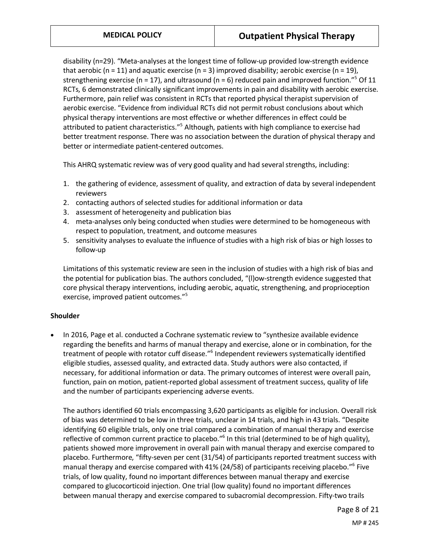disability (n=29). "Meta-analyses at the longest time of follow-up provided low-strength evidence that aerobic (n = 11) and aquatic exercise (n = 3) improved disability; aerobic exercise (n = 19), strengthening exercise ( $n = 17$ ), and ultrasound ( $n = 6$ ) reduced pain and improved function."<sup>5</sup> Of 11 RCTs, 6 demonstrated clinically significant improvements in pain and disability with aerobic exercise. Furthermore, pain relief was consistent in RCTs that reported physical therapist supervision of aerobic exercise. "Evidence from individual RCTs did not permit robust conclusions about which physical therapy interventions are most effective or whether differences in effect could be attributed to patient characteristics."<sup>5</sup> Although, patients with high compliance to exercise had better treatment response. There was no association between the duration of physical therapy and better or intermediate patient-centered outcomes.

This AHRQ systematic review was of very good quality and had several strengths, including:

- 1. the gathering of evidence, assessment of quality, and extraction of data by several independent reviewers
- 2. contacting authors of selected studies for additional information or data
- 3. assessment of heterogeneity and publication bias
- 4. meta-analyses only being conducted when studies were determined to be homogeneous with respect to population, treatment, and outcome measures
- 5. sensitivity analyses to evaluate the influence of studies with a high risk of bias or high losses to follow-up

Limitations of this systematic review are seen in the inclusion of studies with a high risk of bias and the potential for publication bias. The authors concluded, "(l)ow-strength evidence suggested that core physical therapy interventions, including aerobic, aquatic, strengthening, and proprioception exercise, improved patient outcomes."<sup>5</sup>

#### **Shoulder**

• In 2016, Page et al. conducted a Cochrane systematic review to "synthesize available evidence regarding the benefits and harms of manual therapy and exercise, alone or in combination, for the treatment of people with rotator cuff disease."<sup>6</sup> Independent reviewers systematically identified eligible studies, assessed quality, and extracted data. Study authors were also contacted, if necessary, for additional information or data. The primary outcomes of interest were overall pain, function, pain on motion, patient-reported global assessment of treatment success, quality of life and the number of participants experiencing adverse events.

The authors identified 60 trials encompassing 3,620 participants as eligible for inclusion. Overall risk of bias was determined to be low in three trials, unclear in 14 trials, and high in 43 trials. "Despite identifying 60 eligible trials, only one trial compared a combination of manual therapy and exercise reflective of common current practice to placebo."<sup>6</sup> In this trial (determined to be of high quality), patients showed more improvement in overall pain with manual therapy and exercise compared to placebo. Furthermore, "fifty-seven per cent (31/54) of participants reported treatment success with manual therapy and exercise compared with 41% (24/58) of participants receiving placebo."<sup>6</sup> Five trials, of low quality, found no important differences between manual therapy and exercise compared to glucocorticoid injection. One trial (low quality) found no important differences between manual therapy and exercise compared to subacromial decompression. Fifty-two trails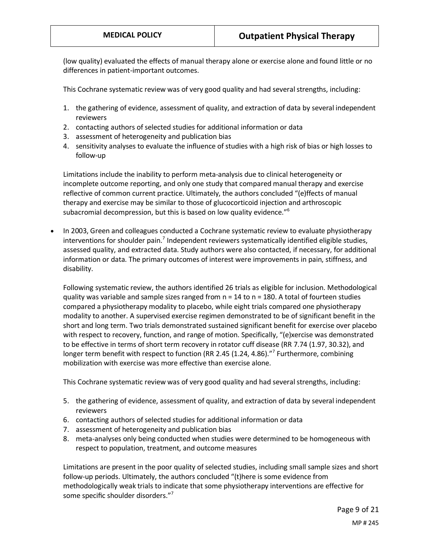(low quality) evaluated the effects of manual therapy alone or exercise alone and found little or no differences in patient-important outcomes.

This Cochrane systematic review was of very good quality and had several strengths, including:

- 1. the gathering of evidence, assessment of quality, and extraction of data by several independent reviewers
- 2. contacting authors of selected studies for additional information or data
- 3. assessment of heterogeneity and publication bias
- 4. sensitivity analyses to evaluate the influence of studies with a high risk of bias or high losses to follow-up

Limitations include the inability to perform meta-analysis due to clinical heterogeneity or incomplete outcome reporting, and only one study that compared manual therapy and exercise reflective of common current practice. Ultimately, the authors concluded "(e)ffects of manual therapy and exercise may be similar to those of glucocorticoid injection and arthroscopic subacromial decompression, but this is based on low quality evidence."<sup>6</sup>

• In 2003, Green and colleagues conducted a Cochrane systematic review to evaluate physiotherapy interventions for shoulder pain.<sup>7</sup> Independent reviewers systematically identified eligible studies, assessed quality, and extracted data. Study authors were also contacted, if necessary, for additional information or data. The primary outcomes of interest were improvements in pain, stiffness, and disability.

Following systematic review, the authors identified 26 trials as eligible for inclusion. Methodological quality was variable and sample sizes ranged from  $n = 14$  to  $n = 180$ . A total of fourteen studies compared a physiotherapy modality to placebo, while eight trials compared one physiotherapy modality to another. A supervised exercise regimen demonstrated to be of significant benefit in the short and long term. Two trials demonstrated sustained significant benefit for exercise over placebo with respect to recovery, function, and range of motion. Specifically, "(e)xercise was demonstrated to be effective in terms of short term recovery in rotator cuff disease (RR 7.74 (1.97, 30.32), and longer term benefit with respect to function (RR 2.45 (1.24, 4.86)."<sup>7</sup> Furthermore, combining mobilization with exercise was more effective than exercise alone.

This Cochrane systematic review was of very good quality and had several strengths, including:

- 5. the gathering of evidence, assessment of quality, and extraction of data by several independent reviewers
- 6. contacting authors of selected studies for additional information or data
- 7. assessment of heterogeneity and publication bias
- 8. meta-analyses only being conducted when studies were determined to be homogeneous with respect to population, treatment, and outcome measures

Limitations are present in the poor quality of selected studies, including small sample sizes and short follow-up periods. Ultimately, the authors concluded "(t)here is some evidence from methodologically weak trials to indicate that some physiotherapy interventions are effective for some specific shoulder disorders."<sup>7</sup>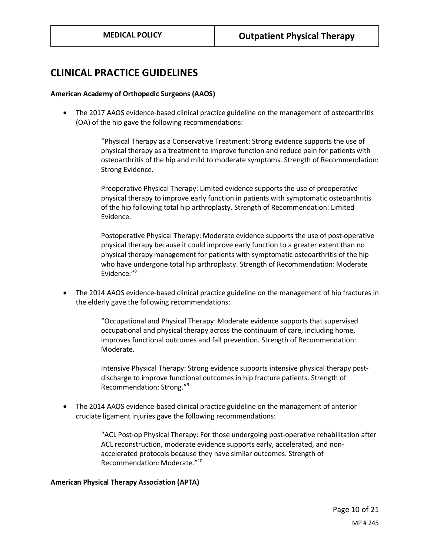### **CLINICAL PRACTICE GUIDELINES**

#### **American Academy of Orthopedic Surgeons (AAOS)**

• The 2017 AAOS evidence-based clinical practice guideline on the management of osteoarthritis (OA) of the hip gave the following recommendations:

> "Physical Therapy as a Conservative Treatment: Strong evidence supports the use of physical therapy as a treatment to improve function and reduce pain for patients with osteoarthritis of the hip and mild to moderate symptoms. Strength of Recommendation: Strong Evidence.

Preoperative Physical Therapy: Limited evidence supports the use of preoperative physical therapy to improve early function in patients with symptomatic osteoarthritis of the hip following total hip arthroplasty. Strength of Recommendation: Limited Evidence.

Postoperative Physical Therapy: Moderate evidence supports the use of post-operative physical therapy because it could improve early function to a greater extent than no physical therapy management for patients with symptomatic osteoarthritis of the hip who have undergone total hip arthroplasty. Strength of Recommendation: Moderate Evidence."<sup>8</sup>

• The 2014 AAOS evidence-based clinical practice guideline on the management of hip fractures in the elderly gave the following recommendations:

> "Occupational and Physical Therapy: Moderate evidence supports that supervised occupational and physical therapy across the continuum of care, including home, improves functional outcomes and fall prevention. Strength of Recommendation: Moderate.

Intensive Physical Therapy: Strong evidence supports intensive physical therapy postdischarge to improve functional outcomes in hip fracture patients. Strength of Recommendation: Strong."<sup>9</sup>

• The 2014 AAOS evidence-based clinical practice guideline on the management of anterior cruciate ligament injuries gave the following recommendations:

> "ACL Post-op Physical Therapy: For those undergoing post-operative rehabilitation after ACL reconstruction, moderate evidence supports early, accelerated, and nonaccelerated protocols because they have similar outcomes. Strength of Recommendation: Moderate."<sup>10</sup>

#### **American Physical Therapy Association (APTA)**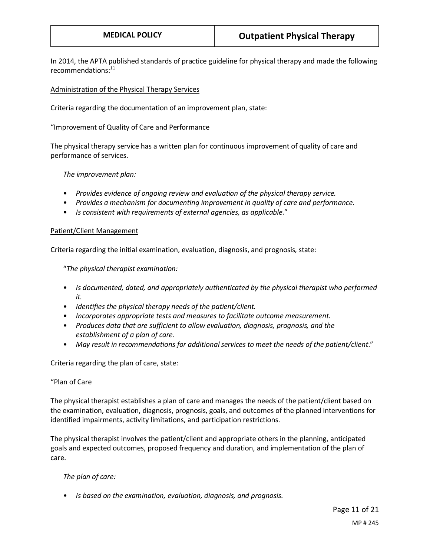In 2014, the APTA published standards of practice guideline for physical therapy and made the following recommendations:11

#### Administration of the Physical Therapy Services

Criteria regarding the documentation of an improvement plan, state:

"Improvement of Quality of Care and Performance

The physical therapy service has a written plan for continuous improvement of quality of care and performance of services.

#### *The improvement plan:*

- *Provides evidence of ongoing review and evaluation of the physical therapy service.*
- *Provides a mechanism for documenting improvement in quality of care and performance.*
- *Is consistent with requirements of external agencies, as applicable.*"

#### Patient/Client Management

Criteria regarding the initial examination, evaluation, diagnosis, and prognosis, state:

"*The physical therapist examination:* 

- *Is documented, dated, and appropriately authenticated by the physical therapist who performed it.*
- *Identifies the physical therapy needs of the patient/client.*
- *Incorporates appropriate tests and measures to facilitate outcome measurement.*
- *Produces data that are sufficient to allow evaluation, diagnosis, prognosis, and the establishment of a plan of care.*
- *May result in recommendations for additional services to meet the needs of the patient/client*."

Criteria regarding the plan of care, state:

#### "Plan of Care

The physical therapist establishes a plan of care and manages the needs of the patient/client based on the examination, evaluation, diagnosis, prognosis, goals, and outcomes of the planned interventions for identified impairments, activity limitations, and participation restrictions.

The physical therapist involves the patient/client and appropriate others in the planning, anticipated goals and expected outcomes, proposed frequency and duration, and implementation of the plan of care.

#### *The plan of care:*

• *Is based on the examination, evaluation, diagnosis, and prognosis.*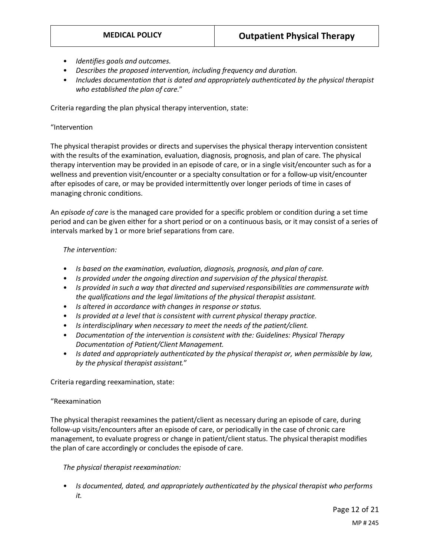- *Identifies goals and outcomes.*
- *Describes the proposed intervention, including frequency and duration.*
- *Includes documentation that is dated and appropriately authenticated by the physical therapist who established the plan of care.*"

Criteria regarding the plan physical therapy intervention, state:

#### "Intervention

The physical therapist provides or directs and supervises the physical therapy intervention consistent with the results of the examination, evaluation, diagnosis, prognosis, and plan of care. The physical therapy intervention may be provided in an episode of care, or in a single visit/encounter such as for a wellness and prevention visit/encounter or a specialty consultation or for a follow-up visit/encounter after episodes of care, or may be provided intermittently over longer periods of time in cases of managing chronic conditions.

An *episode of care* is the managed care provided for a specific problem or condition during a set time period and can be given either for a short period or on a continuous basis, or it may consist of a series of intervals marked by 1 or more brief separations from care.

#### *The intervention:*

- *Is based on the examination, evaluation, diagnosis, prognosis, and plan of care.*
- *Is provided under the ongoing direction and supervision of the physical therapist.*
- *Is provided in such a way that directed and supervised responsibilities are commensurate with the qualifications and the legal limitations of the physical therapist assistant.*
- *Is altered in accordance with changes in response or status.*
- *Is provided at a level that is consistent with current physical therapy practice.*
- *Is interdisciplinary when necessary to meet the needs of the patient/client.*
- *Documentation of the intervention is consistent with the: Guidelines: Physical Therapy Documentation of Patient/Client Management.*
- *Is dated and appropriately authenticated by the physical therapist or, when permissible by law, by the physical therapist assistant.*"

Criteria regarding reexamination, state:

#### "Reexamination

The physical therapist reexamines the patient/client as necessary during an episode of care, during follow-up visits/encounters after an episode of care, or periodically in the case of chronic care management, to evaluate progress or change in patient/client status. The physical therapist modifies the plan of care accordingly or concludes the episode of care.

#### *The physical therapist reexamination:*

• *Is documented, dated, and appropriately authenticated by the physical therapist who performs it.*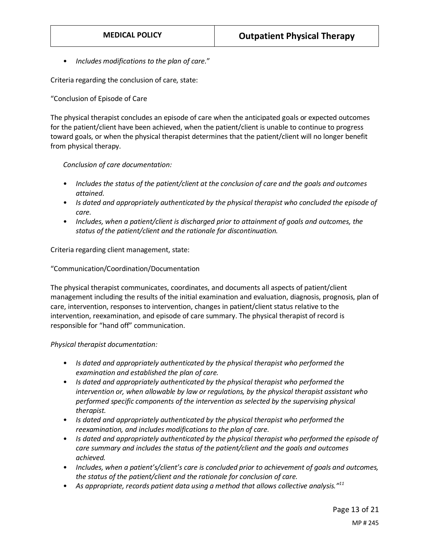• *Includes modifications to the plan of care.*"

Criteria regarding the conclusion of care, state:

"Conclusion of Episode of Care

The physical therapist concludes an episode of care when the anticipated goals or expected outcomes for the patient/client have been achieved, when the patient/client is unable to continue to progress toward goals, or when the physical therapist determines that the patient/client will no longer benefit from physical therapy.

*Conclusion of care documentation:* 

- *Includes the status of the patient/client at the conclusion of care and the goals and outcomes attained.*
- *Is dated and appropriately authenticated by the physical therapist who concluded the episode of care.*
- *Includes, when a patient/client is discharged prior to attainment of goals and outcomes, the status of the patient/client and the rationale for discontinuation.*

Criteria regarding client management, state:

"Communication/Coordination/Documentation

The physical therapist communicates, coordinates, and documents all aspects of patient/client management including the results of the initial examination and evaluation, diagnosis, prognosis, plan of care, intervention, responses to intervention, changes in patient/client status relative to the intervention, reexamination, and episode of care summary. The physical therapist of record is responsible for "hand off" communication.

#### *Physical therapist documentation:*

- *Is dated and appropriately authenticated by the physical therapist who performed the examination and established the plan of care.*
- *Is dated and appropriately authenticated by the physical therapist who performed the intervention or, when allowable by law or regulations, by the physical therapist assistant who performed specific components of the intervention as selected by the supervising physical therapist.*
- *Is dated and appropriately authenticated by the physical therapist who performed the reexamination, and includes modifications to the plan of care.*
- *Is dated and appropriately authenticated by the physical therapist who performed the episode of care summary and includes the status of the patient/client and the goals and outcomes achieved.*
- *Includes, when a patient's/client's care is concluded prior to achievement of goals and outcomes, the status of the patient/client and the rationale for conclusion of care.*
- *As appropriate, records patient data using a method that allows collective analysis." 11*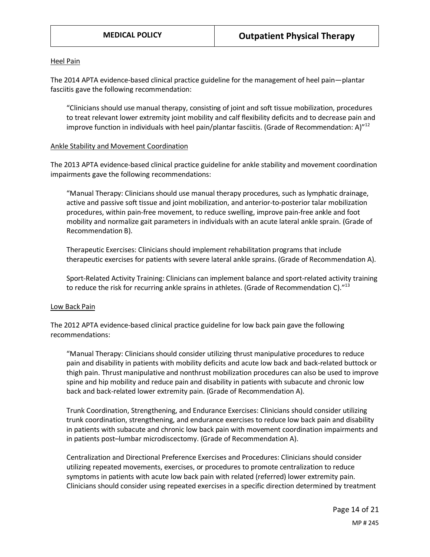#### Heel Pain

The 2014 APTA evidence-based clinical practice guideline for the management of heel pain—plantar fasciitis gave the following recommendation:

"Clinicians should use manual therapy, consisting of joint and soft tissue mobilization, procedures to treat relevant lower extremity joint mobility and calf flexibility deficits and to decrease pain and improve function in individuals with heel pain/plantar fasciitis. (Grade of Recommendation: A) $^{\prime\prime\prime\prime}$ 

#### Ankle Stability and Movement Coordination

The 2013 APTA evidence-based clinical practice guideline for ankle stability and movement coordination impairments gave the following recommendations:

"Manual Therapy: Clinicians should use manual therapy procedures, such as lymphatic drainage, active and passive soft tissue and joint mobilization, and anterior-to-posterior talar mobilization procedures, within pain-free movement, to reduce swelling, improve pain-free ankle and foot mobility and normalize gait parameters in individuals with an acute lateral ankle sprain. (Grade of Recommendation B).

Therapeutic Exercises: Clinicians should implement rehabilitation programs that include therapeutic exercises for patients with severe lateral ankle sprains. (Grade of Recommendation A).

Sport-Related Activity Training: Clinicians can implement balance and sport-related activity training to reduce the risk for recurring ankle sprains in athletes. (Grade of Recommendation C)."<sup>13</sup>

#### Low Back Pain

The 2012 APTA evidence-based clinical practice guideline for low back pain gave the following recommendations:

"Manual Therapy: Clinicians should consider utilizing thrust manipulative procedures to reduce pain and disability in patients with mobility deficits and acute low back and back-related buttock or thigh pain. Thrust manipulative and nonthrust mobilization procedures can also be used to improve spine and hip mobility and reduce pain and disability in patients with subacute and chronic low back and back-related lower extremity pain. (Grade of Recommendation A).

Trunk Coordination, Strengthening, and Endurance Exercises: Clinicians should consider utilizing trunk coordination, strengthening, and endurance exercises to reduce low back pain and disability in patients with subacute and chronic low back pain with movement coordination impairments and in patients post–lumbar microdiscectomy. (Grade of Recommendation A).

Centralization and Directional Preference Exercises and Procedures: Clinicians should consider utilizing repeated movements, exercises, or procedures to promote centralization to reduce symptoms in patients with acute low back pain with related (referred) lower extremity pain. Clinicians should consider using repeated exercises in a specific direction determined by treatment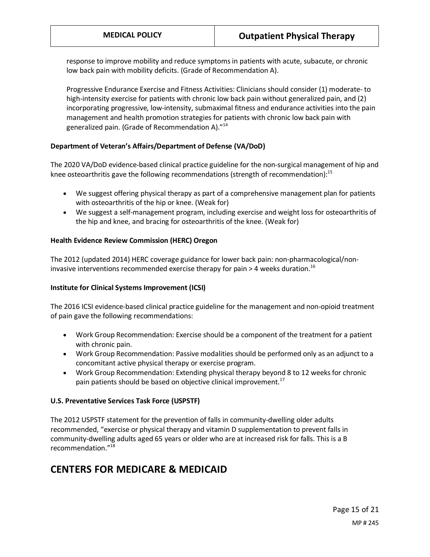response to improve mobility and reduce symptoms in patients with acute, subacute, or chronic low back pain with mobility deficits. (Grade of Recommendation A).

Progressive Endurance Exercise and Fitness Activities: Clinicians should consider (1) moderate- to high-intensity exercise for patients with chronic low back pain without generalized pain, and (2) incorporating progressive, low-intensity, submaximal fitness and endurance activities into the pain management and health promotion strategies for patients with chronic low back pain with generalized pain. (Grade of Recommendation A)."<sup>14</sup>

#### **Department of Veteran's Affairs/Department of Defense (VA/DoD)**

The 2020 VA/DoD evidence-based clinical practice guideline for the non-surgical management of hip and knee osteoarthritis gave the following recommendations (strength of recommendation):<sup>15</sup>

- We suggest offering physical therapy as part of a comprehensive management plan for patients with osteoarthritis of the hip or knee. (Weak for)
- We suggest a self-management program, including exercise and weight loss for osteoarthritis of the hip and knee, and bracing for osteoarthritis of the knee. (Weak for)

#### **Health Evidence Review Commission (HERC) Oregon**

The 2012 (updated 2014) HERC coverage guidance for lower back pain: non-pharmacological/noninvasive interventions recommended exercise therapy for pain  $>$  4 weeks duration.<sup>16</sup>

#### **Institute for Clinical Systems Improvement (ICSI)**

The 2016 ICSI evidence-based clinical practice guideline for the management and non-opioid treatment of pain gave the following recommendations:

- Work Group Recommendation: Exercise should be a component of the treatment for a patient with chronic pain.
- Work Group Recommendation: Passive modalities should be performed only as an adjunct to a concomitant active physical therapy or exercise program.
- Work Group Recommendation: Extending physical therapy beyond 8 to 12 weeks for chronic pain patients should be based on objective clinical improvement.<sup>17</sup>

#### **U.S. Preventative Services Task Force (USPSTF)**

The 2012 USPSTF statement for the prevention of falls in community-dwelling older adults recommended, "exercise or physical therapy and vitamin D supplementation to prevent falls in community-dwelling adults aged 65 years or older who are at increased risk for falls. This is a B recommendation."18

### <span id="page-14-0"></span>**CENTERS FOR MEDICARE & MEDICAID**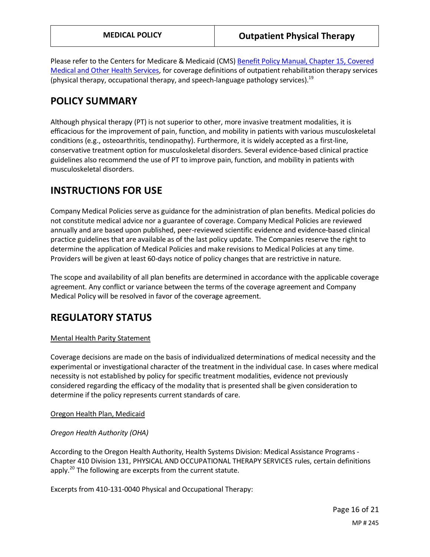Please refer to the Centers for Medicare & Medicaid (CMS[\) Benefit Policy Manual, Chapter 15, Covered](https://www.cms.gov/Regulations-and-Guidance/Guidance/Manuals/downloads/bp102c15.pdf)  [Medical and Other Health Services,](https://www.cms.gov/Regulations-and-Guidance/Guidance/Manuals/downloads/bp102c15.pdf) for coverage definitions of outpatient rehabilitation therapy services (physical therapy, occupational therapy, and speech-language pathology services).<sup>19</sup>

### **POLICY SUMMARY**

Although physical therapy (PT) is not superior to other, more invasive treatment modalities, it is efficacious for the improvement of pain, function, and mobility in patients with various musculoskeletal conditions (e.g., osteoarthritis, tendinopathy). Furthermore, it is widely accepted as a first-line, conservative treatment option for musculoskeletal disorders. Several evidence-based clinical practice guidelines also recommend the use of PT to improve pain, function, and mobility in patients with musculoskeletal disorders.

## **INSTRUCTIONS FOR USE**

Company Medical Policies serve as guidance for the administration of plan benefits. Medical policies do not constitute medical advice nor a guarantee of coverage. Company Medical Policies are reviewed annually and are based upon published, peer-reviewed scientific evidence and evidence-based clinical practice guidelines that are available as of the last policy update. The Companies reserve the right to determine the application of Medical Policies and make revisions to Medical Policies at any time. Providers will be given at least 60-days notice of policy changes that are restrictive in nature.

The scope and availability of all plan benefits are determined in accordance with the applicable coverage agreement. Any conflict or variance between the terms of the coverage agreement and Company Medical Policy will be resolved in favor of the coverage agreement.

## **REGULATORY STATUS**

#### Mental Health Parity Statement

Coverage decisions are made on the basis of individualized determinations of medical necessity and the experimental or investigational character of the treatment in the individual case. In cases where medical necessity is not established by policy for specific treatment modalities, evidence not previously considered regarding the efficacy of the modality that is presented shall be given consideration to determine if the policy represents current standards of care.

#### Oregon Health Plan, Medicaid

#### *Oregon Health Authority (OHA)*

According to the Oregon Health Authority, Health Systems Division: Medical Assistance Programs - Chapter 410 Division 131, PHYSICAL AND OCCUPATIONAL THERAPY SERVICES rules, certain definitions apply.<sup>20</sup> The following are excerpts from the current statute.

Excerpts from 410-131-0040 Physical and Occupational Therapy: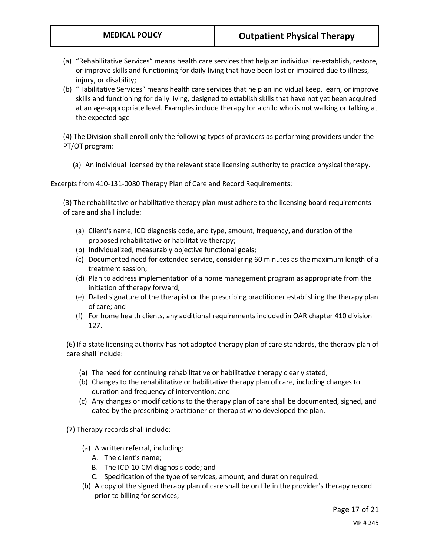- (a) "Rehabilitative Services" means health care services that help an individual re-establish, restore, or improve skills and functioning for daily living that have been lost or impaired due to illness, injury, or disability;
- (b) "Habilitative Services" means health care services that help an individual keep, learn, or improve skills and functioning for daily living, designed to establish skills that have not yet been acquired at an age-appropriate level. Examples include therapy for a child who is not walking or talking at the expected age

(4) The Division shall enroll only the following types of providers as performing providers under the PT/OT program:

(a) An individual licensed by the relevant state licensing authority to practice physical therapy.

Excerpts from 410-131-0080 Therapy Plan of Care and Record Requirements:

(3) The rehabilitative or habilitative therapy plan must adhere to the licensing board requirements of care and shall include:

- (a) Client's name, ICD diagnosis code, and type, amount, frequency, and duration of the proposed rehabilitative or habilitative therapy;
- (b) Individualized, measurably objective functional goals;
- (c) Documented need for extended service, considering 60 minutes as the maximum length of a treatment session;
- (d) Plan to address implementation of a home management program as appropriate from the initiation of therapy forward;
- (e) Dated signature of the therapist or the prescribing practitioner establishing the therapy plan of care; and
- (f) For home health clients, any additional requirements included in OAR chapter 410 division 127.

(6) If a state licensing authority has not adopted therapy plan of care standards, the therapy plan of care shall include:

- (a) The need for continuing rehabilitative or habilitative therapy clearly stated;
- (b) Changes to the rehabilitative or habilitative therapy plan of care, including changes to duration and frequency of intervention; and
- (c) Any changes or modifications to the therapy plan of care shall be documented, signed, and dated by the prescribing practitioner or therapist who developed the plan.

(7) Therapy records shall include:

- (a) A written referral, including:
	- A. The client's name;
	- B. The ICD-10-CM diagnosis code; and
	- C. Specification of the type of services, amount, and duration required.
- (b) A copy of the signed therapy plan of care shall be on file in the provider's therapy record prior to billing for services;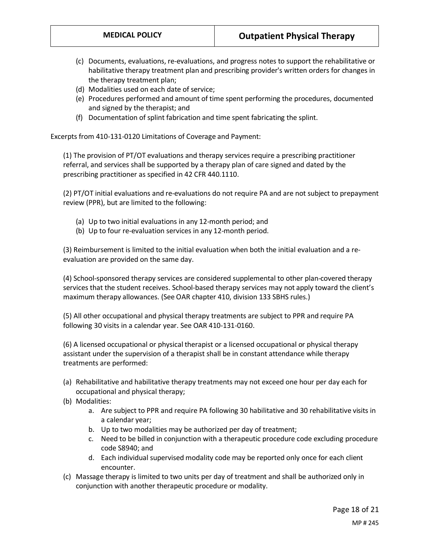- (c) Documents, evaluations, re-evaluations, and progress notes to support the rehabilitative or habilitative therapy treatment plan and prescribing provider's written orders for changes in the therapy treatment plan;
- (d) Modalities used on each date of service;
- (e) Procedures performed and amount of time spent performing the procedures, documented and signed by the therapist; and
- (f) Documentation of splint fabrication and time spent fabricating the splint.

Excerpts from 410-131-0120 Limitations of Coverage and Payment:

(1) The provision of PT/OT evaluations and therapy services require a prescribing practitioner referral, and services shall be supported by a therapy plan of care signed and dated by the prescribing practitioner as specified in 42 CFR 440.1110.

(2) PT/OT initial evaluations and re-evaluations do not require PA and are not subject to prepayment review (PPR), but are limited to the following:

- (a) Up to two initial evaluations in any 12-month period; and
- (b) Up to four re-evaluation services in any 12-month period.

(3) Reimbursement is limited to the initial evaluation when both the initial evaluation and a reevaluation are provided on the same day.

(4) School-sponsored therapy services are considered supplemental to other plan-covered therapy services that the student receives. School-based therapy services may not apply toward the client's maximum therapy allowances. (See OAR chapter 410, division 133 SBHS rules.)

(5) All other occupational and physical therapy treatments are subject to PPR and require PA following 30 visits in a calendar year. See OAR 410-131-0160.

(6) A licensed occupational or physical therapist or a licensed occupational or physical therapy assistant under the supervision of a therapist shall be in constant attendance while therapy treatments are performed:

- (a) Rehabilitative and habilitative therapy treatments may not exceed one hour per day each for occupational and physical therapy;
- (b) Modalities:
	- a. Are subject to PPR and require PA following 30 habilitative and 30 rehabilitative visits in a calendar year;
	- b. Up to two modalities may be authorized per day of treatment;
	- c. Need to be billed in conjunction with a therapeutic procedure code excluding procedure code S8940; and
	- d. Each individual supervised modality code may be reported only once for each client encounter.
- (c) Massage therapy is limited to two units per day of treatment and shall be authorized only in conjunction with another therapeutic procedure or modality.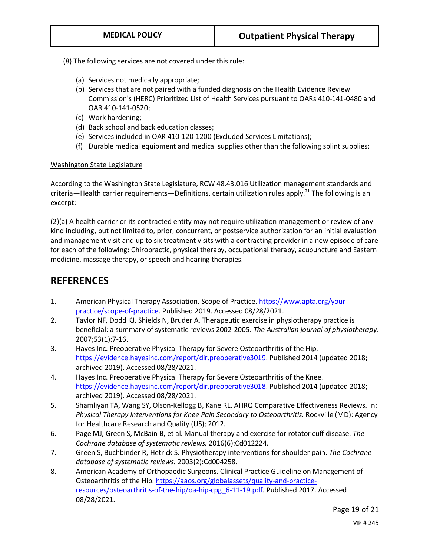- (8) The following services are not covered under this rule:
	- (a) Services not medically appropriate;
	- (b) Services that are not paired with a funded diagnosis on the Health Evidence Review Commission's (HERC) Prioritized List of Health Services pursuant to OARs 410-141-0480 and OAR 410-141-0520;
	- (c) Work hardening;
	- (d) Back school and back education classes;
	- (e) Services included in OAR 410-120-1200 (Excluded Services Limitations);
	- (f) Durable medical equipment and medical supplies other than the following splint supplies:

#### Washington State Legislature

According to the Washington State Legislature, RCW 48.43.016 Utilization management standards and criteria—Health carrier requirements—Definitions, certain utilization rules apply.<sup>21</sup> The following is an excerpt:

(2)(a) A health carrier or its contracted entity may not require utilization management or review of any kind including, but not limited to, prior, concurrent, or postservice authorization for an initial evaluation and management visit and up to six treatment visits with a contracting provider in a new episode of care for each of the following: Chiropractic, physical therapy, occupational therapy, acupuncture and Eastern medicine, massage therapy, or speech and hearing therapies.

### **REFERENCES**

- 1. American Physical Therapy Association. Scope of Practice[. https://www.apta.org/your](https://www.apta.org/your-practice/scope-of-practice)[practice/scope-of-practice.](https://www.apta.org/your-practice/scope-of-practice) Published 2019. Accessed 08/28/2021.
- 2. Taylor NF, Dodd KJ, Shields N, Bruder A. Therapeutic exercise in physiotherapy practice is beneficial: a summary of systematic reviews 2002-2005. *The Australian journal of physiotherapy.*  2007;53(1):7-16.
- 3. Hayes Inc. Preoperative Physical Therapy for Severe Osteoarthritis of the Hip. [https://evidence.hayesinc.com/report/dir.preoperative3019.](https://evidence.hayesinc.com/report/dir.preoperative3019) Published 2014 (updated 2018; archived 2019). Accessed 08/28/2021.
- 4. Hayes Inc. Preoperative Physical Therapy for Severe Osteoarthritis of the Knee. [https://evidence.hayesinc.com/report/dir.preoperative3018.](https://evidence.hayesinc.com/report/dir.preoperative3018) Published 2014 (updated 2018; archived 2019). Accessed 08/28/2021.
- 5. Shamliyan TA, Wang SY, Olson-Kellogg B, Kane RL. AHRQ Comparative Effectiveness Reviews. In: *Physical Therapy Interventions for Knee Pain Secondary to Osteoarthritis.* Rockville (MD): Agency for Healthcare Research and Quality (US); 2012.
- 6. Page MJ, Green S, McBain B, et al. Manual therapy and exercise for rotator cuff disease. *The Cochrane database of systematic reviews.* 2016(6):Cd012224.
- 7. Green S, Buchbinder R, Hetrick S. Physiotherapy interventions for shoulder pain. *The Cochrane database of systematic reviews.* 2003(2):Cd004258.
- 8. American Academy of Orthopaedic Surgeons. Clinical Practice Guideline on Management of Osteoarthritis of the Hip. [https://aaos.org/globalassets/quality-and-practice](https://aaos.org/globalassets/quality-and-practice-resources/osteoarthritis-of-the-hip/oa-hip-cpg_6-11-19.pdf)[resources/osteoarthritis-of-the-hip/oa-hip-cpg\\_6-11-19.pdf.](https://aaos.org/globalassets/quality-and-practice-resources/osteoarthritis-of-the-hip/oa-hip-cpg_6-11-19.pdf) Published 2017. Accessed 08/28/2021.

Page 19 of 21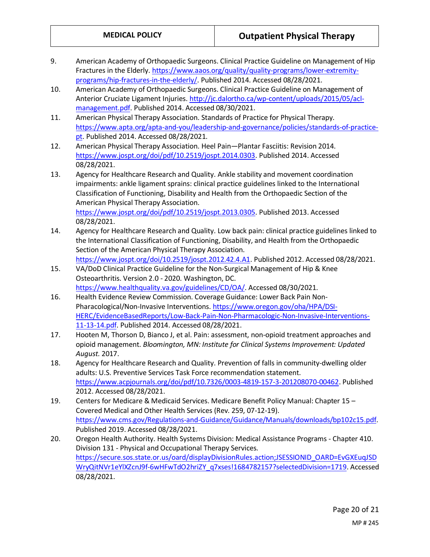- 9. American Academy of Orthopaedic Surgeons. Clinical Practice Guideline on Management of Hip Fractures in the Elderly[. https://www.aaos.org/quality/quality-programs/lower-extremity](https://www.aaos.org/quality/quality-programs/lower-extremity-programs/hip-fractures-in-the-elderly/)[programs/hip-fractures-in-the-elderly/.](https://www.aaos.org/quality/quality-programs/lower-extremity-programs/hip-fractures-in-the-elderly/) Published 2014. Accessed 08/28/2021.
- 10. American Academy of Orthopaedic Surgeons. Clinical Practice Guideline on Management of Anterior Cruciate Ligament Injuries[. http://jc.dalortho.ca/wp-content/uploads/2015/05/acl](http://jc.dalortho.ca/wp-content/uploads/2015/05/acl-management.pdf)[management.pdf.](http://jc.dalortho.ca/wp-content/uploads/2015/05/acl-management.pdf) Published 2014. Accessed 08/30/2021.
- 11. American Physical Therapy Association. Standards of Practice for Physical Therapy. [https://www.apta.org/apta-and-you/leadership-and-governance/policies/standards-of-practice](https://www.apta.org/apta-and-you/leadership-and-governance/policies/standards-of-practice-pt)[pt.](https://www.apta.org/apta-and-you/leadership-and-governance/policies/standards-of-practice-pt) Published 2014. Accessed 08/28/2021.
- 12. American Physical Therapy Association. Heel Pain—Plantar Fasciitis: Revision 2014. [https://www.jospt.org/doi/pdf/10.2519/jospt.2014.0303.](https://www.jospt.org/doi/pdf/10.2519/jospt.2014.0303) Published 2014. Accessed 08/28/2021.
- 13. Agency for Healthcare Research and Quality. Ankle stability and movement coordination impairments: ankle ligament sprains: clinical practice guidelines linked to the International Classification of Functioning, Disability and Health from the Orthopaedic Section of the American Physical Therapy Association. [https://www.jospt.org/doi/pdf/10.2519/jospt.2013.0305.](https://www.jospt.org/doi/pdf/10.2519/jospt.2013.0305) Published 2013. Accessed 08/28/2021.
- 14. Agency for Healthcare Research and Quality. Low back pain: clinical practice guidelines linked to the International Classification of Functioning, Disability, and Health from the Orthopaedic Section of the American Physical Therapy Association. [https://www.jospt.org/doi/10.2519/jospt.2012.42.4.A1.](https://www.jospt.org/doi/10.2519/jospt.2012.42.4.A1) Published 2012. Accessed 08/28/2021.
- 15. VA/DoD Clinical Practice Guideline for the Non-Surgical Management of Hip & Knee Osteoarthritis. Version 2.0 - 2020. Washington, DC. [https://www.healthquality.va.gov/guidelines/CD/OA/.](https://www.healthquality.va.gov/guidelines/CD/OA/) Accessed 08/30/2021.
- 16. Health Evidence Review Commission. Coverage Guidance: Lower Back Pain Non-Pharacological/Non-Invasive Interventions[. https://www.oregon.gov/oha/HPA/DSI-](https://www.oregon.gov/oha/HPA/DSI-HERC/EvidenceBasedReports/Low-Back-Pain-Non-Pharmacologic-Non-Invasive-Interventions-11-13-14.pdf)[HERC/EvidenceBasedReports/Low-Back-Pain-Non-Pharmacologic-Non-Invasive-Interventions-](https://www.oregon.gov/oha/HPA/DSI-HERC/EvidenceBasedReports/Low-Back-Pain-Non-Pharmacologic-Non-Invasive-Interventions-11-13-14.pdf)[11-13-14.pdf.](https://www.oregon.gov/oha/HPA/DSI-HERC/EvidenceBasedReports/Low-Back-Pain-Non-Pharmacologic-Non-Invasive-Interventions-11-13-14.pdf) Published 2014. Accessed 08/28/2021.
- 17. Hooten M, Thorson D, Bianco J, et al. Pain: assessment, non-opioid treatment approaches and opioid management. *Bloomington, MN: Institute for Clinical Systems Improvement: Updated August.* 2017.
- 18. Agency for Healthcare Research and Quality. Prevention of falls in community-dwelling older adults: U.S. Preventive Services Task Force recommendation statement. [https://www.acpjournals.org/doi/pdf/10.7326/0003-4819-157-3-201208070-00462.](https://www.acpjournals.org/doi/pdf/10.7326/0003-4819-157-3-201208070-00462) Published 2012. Accessed 08/28/2021.
- 19. Centers for Medicare & Medicaid Services. Medicare Benefit Policy Manual: Chapter 15 Covered Medical and Other Health Services (Rev. 259, 07-12-19). [https://www.cms.gov/Regulations-and-Guidance/Guidance/Manuals/downloads/bp102c15.pdf.](https://www.cms.gov/Regulations-and-Guidance/Guidance/Manuals/downloads/bp102c15.pdf) Published 2019. Accessed 08/28/2021.
- 20. Oregon Health Authority. Health Systems Division: Medical Assistance Programs Chapter 410. Division 131 - Physical and Occupational Therapy Services. [https://secure.sos.state.or.us/oard/displayDivisionRules.action;JSESSIONID\\_OARD=EvGXEuqJSD](https://secure.sos.state.or.us/oard/displayDivisionRules.action;JSESSIONID_OARD=EvGXEuqJSDWryQitNVr1eYlXZcnJ9f-6wHFwTdO2hriZY_q7xses!1684782157?selectedDivision=1719) [WryQitNVr1eYlXZcnJ9f-6wHFwTdO2hriZY\\_q7xses!1684782157?selectedDivision=1719.](https://secure.sos.state.or.us/oard/displayDivisionRules.action;JSESSIONID_OARD=EvGXEuqJSDWryQitNVr1eYlXZcnJ9f-6wHFwTdO2hriZY_q7xses!1684782157?selectedDivision=1719) Accessed 08/28/2021.